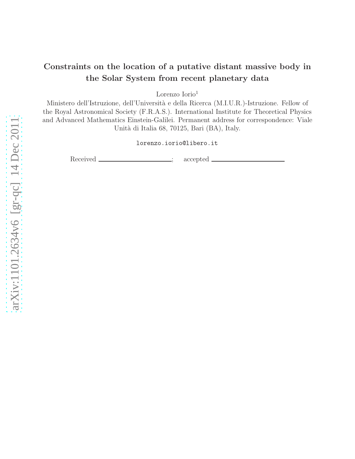# Constraints on the location of a putative distant massive body in the Solar System from recent planetary data

Lorenzo Iorio<sup>1</sup>

Ministero dell'Istruzione, dell'Università e della Ricerca (M.I.U.R.)-Istruzione. Fellow of the Royal Astronomical Society (F.R.A.S.). International Institute for Theoretical Physics and Advanced Mathematics Einstein-Galilei. Permanent address for correspondence: Viale Unità di Italia 68, 70125, Bari (BA), Italy.

lorenzo.iorio@libero.it

Received \_\_\_\_\_\_\_\_\_\_\_\_\_\_\_\_; accepted \_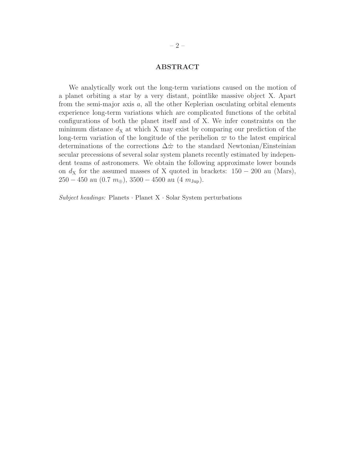## ABSTRACT

We analytically work out the long-term variations caused on the motion of a planet orbiting a star by a very distant, pointlike massive object X. Apart from the semi-major axis  $a$ , all the other Keplerian osculating orbital elements experience long-term variations which are complicated functions of the orbital configurations of both the planet itself and of X. We infer constraints on the minimum distance  $d<sub>X</sub>$  at which X may exist by comparing our prediction of the long-term variation of the longitude of the perihelion  $\varpi$  to the latest empirical determinations of the corrections  $\Delta \dot{\varpi}$  to the standard Newtonian/Einsteinian secular precessions of several solar system planets recently estimated by independent teams of astronomers. We obtain the following approximate lower bounds on  $d<sub>X</sub>$  for the assumed masses of X quoted in brackets: 150 – 200 au (Mars), 250 − 450 au (0.7  $m_{\oplus}$ ), 3500 − 4500 au (4  $m_{\text{Jup}}$ ).

Subject headings: Planets  $\cdot$  Planet X  $\cdot$  Solar System perturbations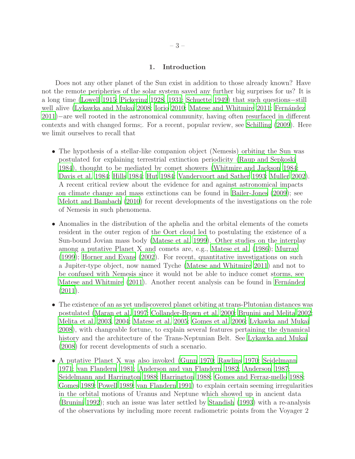### 1. Introduction

Does not any other planet of the Sun exist in addition to those already known? Have not the remote peripheries of the solar system saved any further big surprises for us? It is a long time [\(Lowell 1915](#page-17-0); [Pickering 1928,](#page-18-0) [1931;](#page-18-1) [Schuette 1949\)](#page-19-0) that such questions−still well alive [\(Lykawka and Mukai 2008;](#page-17-1) [Iorio 2010;](#page-16-0) [Matese and Whitmire](#page-18-2) [2011;](#page-18-2) Fernández [2011\)](#page-15-0)−are well rooted in the astronomical community, having often resurfaced in different contexts and with changed forms;. For a recent, popular review, see [Schilling \(2009\)](#page-19-1). Here we limit ourselves to recall that

- The hypothesis of a stellar-like companion object (Nemesis) orbiting the Sun was postulated for explaining terrestrial extinction periodicity [\(Raup and Sepkoski](#page-19-2) [1984\)](#page-19-2), thought to be mediated by comet showers [\(Whitmire and Jackson 1984](#page-20-0); [Davis et al. 1984](#page-15-1); [Hills 1984](#page-16-1); [Hut 1984](#page-16-2); [Vandervoort and Sather 1993](#page-20-1); [Muller 2002\)](#page-18-3). A recent critical review about the evidence for and against astronomical impacts on climate change and mass extinctions can be found in [Bailer-Jones \(2009\)](#page-14-0); see [Melott and Bambach \(2010](#page-18-4)) for recent developments of the investigations on the role of Nemesis in such phenomena.
- Anomalies in the distribution of the aphelia and the orbital elements of the comets resident in the outer region of the Oort cloud led to postulating the existence of a Sun-bound Jovian mass body [\(Matese et al. 1999\)](#page-17-2). Other studies on the interplay among a putative Planet X and comets are, e.g., [Matese et al. \(1986](#page-17-3)); [Murray](#page-18-5) [\(1999](#page-18-5)); [Horner and Evans \(2002\)](#page-16-3). For recent, quantitative investigations on such a Jupiter-type object, now named Tyche [\(Matese and Whitmire 2011\)](#page-18-2) and not to be confused with Nemesis since it would not be able to induce comet storms, see [Matese and Whitmire \(2011\)](#page-18-2). Another recent analysis can be found in Fernández  $(2011).$  $(2011).$
- The existence of an as yet undiscovered planet orbiting at trans-Plutonian distances was postulated [\(Maran et al. 1997;](#page-17-4) [Collander-Brown et al. 2000](#page-14-1); [Brunini and Melita 2002;](#page-14-2) [Melita et al. 2003,](#page-18-6) [2004;](#page-18-7) [Matese et al. 2005;](#page-18-8) [Gomes et al. 2006](#page-15-2); [Lykawka and Mukai](#page-17-1) [2008\)](#page-17-1), with changeable fortune, to explain several features pertaining the dynamical history and the architecture of the Trans-Neptunian Belt. See [Lykawka and Mukai](#page-17-1) [\(2008](#page-17-1)) for recent developments of such a scenario.
- A putative Planet X was also invoked [\(Gunn 1970;](#page-15-3) [Rawlins 1970;](#page-19-3) [Seidelmann](#page-19-4) [1971;](#page-19-4) [van Flandern 1981](#page-20-2); [Anderson and van Flandern 1982](#page-14-3); [Anderson 1987](#page-14-4); [Seidelmann and Harrington 1988;](#page-19-5) [Harrington 1988;](#page-16-4) [Gomes and Ferraz-mello 1988;](#page-15-4) [Gomes 1989;](#page-15-5) [Powell 1989;](#page-19-6) [van Flandern 1991\)](#page-20-3) to explain certain seeming irregularities in the orbital motions of Uranus and Neptune which showed up in ancient data [\(Brunini 1992](#page-14-5)); such an issue was later settled by [Standish \(1993\)](#page-19-7) with a re-analysis of the observations by including more recent radiometric points from the Voyager 2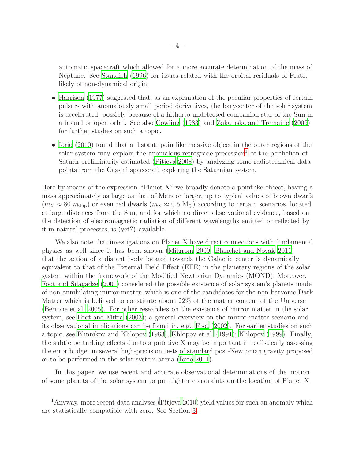automatic spacecraft which allowed for a more accurate determination of the mass of Neptune. See [Standish \(1996\)](#page-19-8) for issues related with the orbital residuals of Pluto, likely of non-dynamical origin.

- [Harrison \(1977\)](#page-16-5) suggested that, as an explanation of the peculiar properties of certain pulsars with anomalously small period derivatives, the barycenter of the solar system is accelerated, possibly because of a hitherto undetected companion star of the Sun in a bound or open orbit. See also [Cowling \(1983](#page-14-6)) and [Zakamska and Tremaine \(2005\)](#page-20-4) for further studies on such a topic.
- [Iorio \(2010\)](#page-16-0) found that a distant, pointlike massive object in the outer regions of the solar system may explain the anomalous retrograde precession<sup>[1](#page-3-0)</sup> of the perihelion of Saturn preliminarily estimated [\(Pitjeva 2008\)](#page-19-9) by analyzing some radiotechnical data points from the Cassini spacecraft exploring the Saturnian system.

Here by means of the expression "Planet X" we broadly denote a pointlike object, having a mass approximately as large as that of Mars or larger, up to typical values of brown dwarfs  $(m_{\rm X} \approx 80 \; m_{\rm Jup})$  or even red dwarfs  $(m_{\rm X} \approx 0.5 \; {\rm M}_{\odot})$  according to certain scenarios, located at large distances from the Sun, and for which no direct observational evidence, based on the detection of electromagnetic radiation of different wavelengths emitted or reflected by it in natural processes, is (yet?) available.

We also note that investigations on Planet X have direct connections with fundamental physics as well since it has been shown [\(Milgrom 2009](#page-18-9); [Blanchet and Novak 2011](#page-14-7)) that the action of a distant body located towards the Galactic center is dynamically equivalent to that of the External Field Effect (EFE) in the planetary regions of the solar system within the framework of the Modified Newtonian Dynamics (MOND). Moreover, [Foot and Silagadze \(2001](#page-15-6)) considered the possible existence of solar system's planets made of non-annihilating mirror matter, which is one of the candidates for the non-baryonic Dark Matter which is believed to constitute about 22% of the matter content of the Universe [\(Bertone et al. 2005](#page-14-8)). For other researches on the existence of mirror matter in the solar system, see [Foot and Mitra \(2003\)](#page-15-7); a general overview on the mirror matter scenario and its observational implications can be found in, e.g., [Foot \(2002](#page-15-8)). For earlier studies on such a topic, see [Blinnikov and Khlopov \(1983\)](#page-14-9); [Khlopov et al. \(1991\)](#page-17-5); [Khlopov \(1999\)](#page-17-6). Finally, the subtle perturbing effects due to a putative X may be important in realistically assessing the error budget in several high-precision tests of standard post-Newtonian gravity proposed or to be performed in the solar system arena [\(Iorio 2011\)](#page-16-6).

In this paper, we use recent and accurate observational determinations of the motion of some planets of the solar system to put tighter constraints on the location of Planet X

<span id="page-3-0"></span><sup>1</sup>Anyway, more recent data analyses [\(Pitjeva 2010\)](#page-19-10) yield values for such an anomaly which are statistically compatible with zero. See Section [3.](#page-8-0)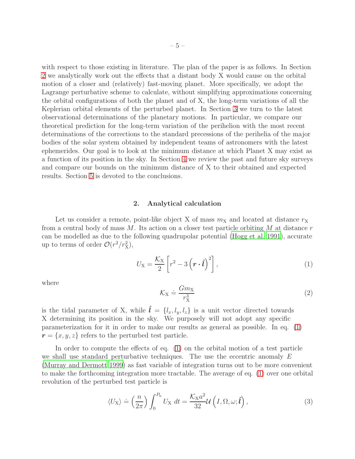with respect to those existing in literature. The plan of the paper is as follows. In Section [2](#page-4-0) we analytically work out the effects that a distant body X would cause on the orbital motion of a closer and (relatively) fast-moving planet. More specifically, we adopt the Lagrange perturbative scheme to calculate, without simplifying approximations concerning the orbital configurations of both the planet and of X, the long-term variations of all the Keplerian orbital elements of the perturbed planet. In Section [3](#page-8-0) we turn to the latest observational determinations of the planetary motions. In particular, we compare our theoretical prediction for the long-term variation of the perihelion with the most recent determinations of the corrections to the standard precessions of the perihelia of the major bodies of the solar system obtained by independent teams of astronomers with the latest ephemerides. Our goal is to look at the minimum distance at which Planet X may exist as a function of its position in the sky. In Section [4](#page-11-0) we review the past and future sky surveys and compare our bounds on the minimum distance of X to their obtained and expected results. Section [5](#page-12-0) is devoted to the conclusions.

#### 2. Analytical calculation

<span id="page-4-0"></span>Let us consider a remote, point-like object X of mass  $m<sub>X</sub>$  and located at distance  $r<sub>X</sub>$ from a central body of mass  $M$ . Its action on a closer test particle orbiting  $M$  at distance  $r$ can be modelled as due to the following quadrupolar potential [\(Hogg et al. 1991\)](#page-16-7), accurate up to terms of order  $\mathcal{O}(r^2/r_{\rm X}^2)$ ,

<span id="page-4-1"></span>
$$
U_{\rm X} = \frac{\mathcal{K}_{\rm X}}{2} \left[ r^2 - 3 \left( \boldsymbol{r} \cdot \hat{\boldsymbol{l}} \right)^2 \right], \tag{1}
$$

where

$$
\mathcal{K}_{\mathbf{X}} \doteq \frac{Gm_{\mathbf{X}}}{r_{\mathbf{X}}^3} \tag{2}
$$

is the tidal parameter of X, while  $\hat{\mathbf{l}} = \{l_x, l_y, l_z\}$  is a unit vector directed towards X determining its position in the sky. We purposely will not adopt any specific parameterization for it in order to make our results as general as possible. In eq. [\(1\)](#page-4-1)  $r = \{x, y, z\}$  refers to the perturbed test particle.

In order to compute the effects of eq. [\(1\)](#page-4-1) on the orbital motion of a test particle we shall use standard perturbative techniques. The use the eccentric anomaly  $E$ [\(Murray and Dermott 1999](#page-18-10)) as fast variable of integration turns out to be more convenient to make the forthcoming integration more tractable. The average of eq. [\(1\)](#page-4-1) over one orbital revolution of the perturbed test particle is

<span id="page-4-2"></span>
$$
\langle U_{\mathbf{X}} \rangle \doteq \left(\frac{n}{2\pi}\right) \int_0^{P_{\mathbf{b}}} U_{\mathbf{X}} \, dt = \frac{\mathcal{K}_{\mathbf{X}} a^2}{32} \mathcal{U}\left(I, \Omega, \omega; \hat{\mathbf{l}}\right),\tag{3}
$$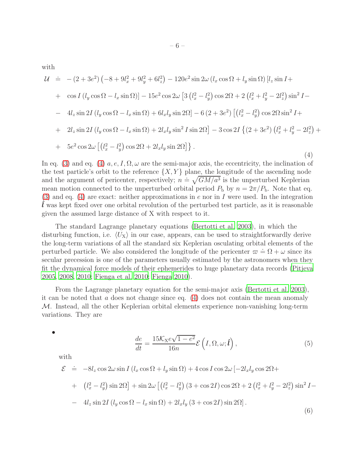with

<span id="page-5-0"></span>
$$
\mathcal{U} = -(2+3e^2) \left( -8 + 9l_x^2 + 9l_y^2 + 6l_z^2 \right) - 120e^2 \sin 2\omega \left( l_x \cos \Omega + l_y \sin \Omega \right) \left[ l_z \sin I + \cos I \left( l_y \cos \Omega - l_x \sin \Omega \right) \right] - 15e^2 \cos 2\omega \left[ 3 \left( l_x^2 - l_y^2 \right) \cos 2\Omega + 2 \left( l_x^2 + l_y^2 - 2l_z^2 \right) \sin^2 I - 4l_z \sin 2I \left( l_y \cos \Omega - l_x \sin \Omega \right) + 6l_x l_y \sin 2\Omega \right] - 6 \left( 2 + 3e^2 \right) \left[ \left( l_x^2 - l_y^2 \right) \cos 2\Omega \sin^2 I + 2l_z \sin 2I \left( l_y \cos \Omega - l_x \sin \Omega \right) + 2l_x l_y \sin^2 I \sin 2\Omega \right] - 3 \cos 2I \left\{ \left( 2 + 3e^2 \right) \left( l_x^2 + l_y^2 - 2l_z^2 \right) + 5e^2 \cos 2\omega \left[ \left( l_x^2 - l_y^2 \right) \cos 2\Omega + 2l_x l_y \sin 2\Omega \right] \right\}.
$$
\n(4)

In eq. [\(3\)](#page-4-2) and eq. [\(4\)](#page-5-0)  $a, e, I, \Omega, \omega$  are the semi-major axis, the eccentricity, the inclination of the test particle's orbit to the reference  $\{X, Y\}$  plane, the longitude of the ascending node and the argument of pericenter, respectively;  $n = \sqrt{GM/a^3}$  is the unperturbed Keplerian mean motion connected to the unperturbed orbital period  $P_b$  by  $n = 2\pi/P_b$ . Note that eq. [\(3\)](#page-4-2) and eq. [\(4\)](#page-5-0) are exact: neither approximations in e nor in I were used. In the integration ˆl was kept fixed over one orbital revolution of the perturbed test particle, as it is reasonable given the assumed large distance of X with respect to it.

The standard Lagrange planetary equations [\(Bertotti et al. 2003\)](#page-14-10), in which the disturbing function, i.e.  $\langle U_X \rangle$  in our case, appears, can be used to straightforwardly derive the long-term variations of all the standard six Keplerian osculating orbital elements of the perturbed particle. We also considered the longitude of the pericenter  $\varpi \doteq \Omega + \omega$  since its secular precession is one of the parameters usually estimated by the astronomers when they fit the dynamical force models of their ephemerides to huge planetary data records [\(Pitjeva](#page-18-11) [2005,](#page-18-11) [2008](#page-19-9), [2010;](#page-19-10) [Fienga et al. 2010](#page-15-9); [Fienga 2010](#page-15-10)).

From the Lagrange planetary equation for the semi-major axis [\(Bertotti et al. 2003\)](#page-14-10), it can be noted that a does not change since eq.  $(4)$  does not contain the mean anomaly M. Instead, all the other Keplerian orbital elements experience non-vanishing long-term variations. They are

•

<span id="page-5-1"></span>
$$
\frac{de}{dt} = \frac{15K_{\rm X}e\sqrt{1-e^2}}{16n} \mathcal{E}\left(I, \Omega, \omega; \hat{\mathbf{i}}\right),\tag{5}
$$

with

$$
\mathcal{E} = -8l_z \cos 2\omega \sin I \left( l_x \cos \Omega + l_y \sin \Omega \right) + 4 \cos I \cos 2\omega \left[ -2l_x l_y \cos 2\Omega +
$$
  
+ 
$$
\left( l_x^2 - l_y^2 \right) \sin 2\Omega \right] + \sin 2\omega \left[ \left( l_x^2 - l_y^2 \right) \left( 3 + \cos 2I \right) \cos 2\Omega + 2 \left( l_x^2 + l_y^2 - 2l_z^2 \right) \sin^2 I -
$$
  
- 
$$
4l_z \sin 2I \left( l_y \cos \Omega - l_x \sin \Omega \right) + 2l_x l_y \left( 3 + \cos 2I \right) \sin 2\Omega \right].
$$
  
(6)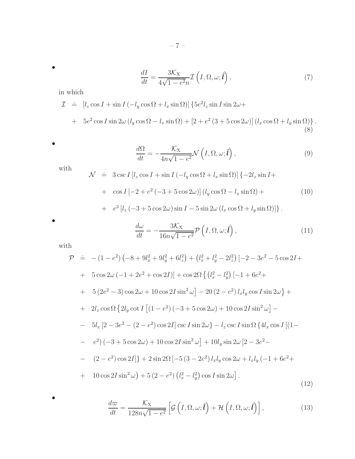$$
\frac{dI}{dt} = \frac{3\mathcal{K}_{X}}{4\sqrt{1 - e^{2}}n} \mathcal{I}\left(I, \Omega, \omega; \hat{\boldsymbol{l}}\right),\tag{7}
$$

in which

$$
\mathcal{I} = [l_z \cos I + \sin I (-l_y \cos \Omega + l_x \sin \Omega)] \{5e^2 l_z \sin I \sin 2\omega +
$$

+ 
$$
5e^2 \cos I \sin 2\omega (l_y \cos \Omega - l_x \sin \Omega) + [2 + e^2 (3 + 5 \cos 2\omega)] (l_x \cos \Omega + l_y \sin \Omega)
$$
 (8)

•

•

$$
\frac{d\Omega}{dt} = -\frac{\mathcal{K}_{\rm X}}{4n\sqrt{1 - e^2}} \mathcal{N}\left(I, \Omega, \omega; \hat{\boldsymbol{l}}\right),\tag{9}
$$

with

$$
\mathcal{N} \doteq 3 \csc I \left[ l_z \cos I + \sin I \left( -l_y \cos \Omega + l_x \sin \Omega \right) \right] \{-2l_z \sin I +
$$
  
+ 
$$
\cos I \left[ -2 + e^2 \left( -3 + 5 \cos 2\omega \right) \right] \left( l_y \cos \Omega - l_x \sin \Omega \right) +
$$
 (10)

+ 
$$
e^2 [l_z (-3 + 5 \cos 2\omega) \sin I - 5 \sin 2\omega (l_x \cos \Omega + l_y \sin \Omega)]
$$
.

•

•

$$
\frac{d\omega}{dt} = -\frac{3\mathcal{K}_{\rm X}}{16n\sqrt{1-e^2}} \mathcal{P}\left(I,\Omega,\omega;\hat{\boldsymbol{i}}\right),\tag{11}
$$

with

$$
\mathcal{P} = -(1 - e^2) \left( -8 + 9l_x^2 + 9l_y^2 + 6l_z^2 \right) + \left( l_x^2 + l_y^2 - 2l_z^2 \right) \left[ -2 - 3e^2 - 5\cos 2I + \right. \\
\left. + 5\cos 2\omega \left( -1 + 2e^2 + \cos 2I \right) \right] + \cos 2\Omega \left\{ \left( l_x^2 - l_y^2 \right) \left[ -1 + 6e^2 + \right. \\
\left. + 5\left( 2e^2 - 3 \right) \cos 2\omega + 10 \cos 2I \sin^2 \omega \right] - 20 \left( 2 - e^2 \right) l_x l_y \cos I \sin 2\omega \right\} + \\
+ 2l_z \cos \Omega \left\{ 2l_y \cot I \left[ (1 - e^2) \left( -3 + 5\cos 2\omega \right) + 10 \cos 2I \sin^2 \omega \right] - \right. \\
\left. - 5l_x \left[ 2 - 3e^2 - (2 - e^2) \cos 2I \right] \csc I \sin 2\omega \right\} - l_z \csc I \sin \Omega \left\{ 4l_x \cos I \left[ (1 - e^2) \left( -3 + 5 \cos 2\omega \right) + 10 \cos 2I \sin^2 \omega \right] + 10l_y \sin 2\omega \left[ 2 - 3e^2 - \right. \\
\left. - (2 - e^2) \cos 2I \right] \right\} + 2 \sin 2\Omega \left[ -5 \left( 3 - 2e^2 \right) l_x l_y \cos 2\omega + l_x l_y \left( -1 + 6e^2 + \right. \\
\left. + 10 \cos 2I \sin^2 \omega \right) + 5 \left( 2 - e^2 \right) \left( l_x^2 - l_y^2 \right) \cos I \sin 2\omega \right].\n\tag{12}
$$

<span id="page-6-0"></span>
$$
\frac{d\omega}{dt} = \frac{\mathcal{K}_{\mathbf{X}}}{128n\sqrt{1 - e^2}} \left[ \mathcal{G}\left(I, \Omega, \omega; \hat{\boldsymbol{i}}\right) + \mathcal{H}\left(I, \Omega, \omega; \hat{\boldsymbol{i}}\right) \right],\tag{13}
$$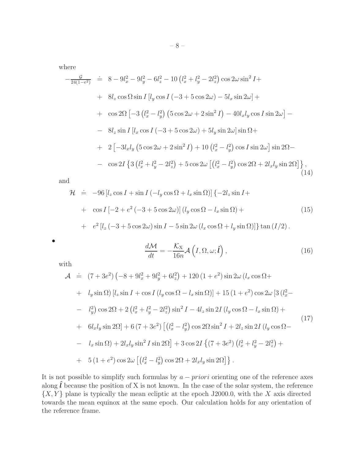where

$$
-\frac{g}{24(1-e^2)} \doteq 8 - 9l_x^2 - 9l_y^2 - 6l_z^2 - 10(l_x^2 + l_y^2 - 2l_z^2) \cos 2\omega \sin^2 I + 8l_z \cos \Omega \sin I [l_y \cos I (-3 + 5 \cos 2\omega) - 5l_x \sin 2\omega] + 8l_z \cos \Omega \left[-3(l_x^2 - l_y^2)\left(5 \cos 2\omega + 2 \sin^2 I\right) - 40l_x l_y \cos I \sin 2\omega\right] - 8l_z \sin I [l_x \cos I (-3 + 5 \cos 2\omega) + 5l_y \sin 2\omega] \sin \Omega + 2[-3l_x l_y \left(5 \cos 2\omega + 2 \sin^2 I\right) + 10(l_x^2 - l_y^2) \cos I \sin 2\omega] \sin 2\Omega - \cos 2I \left\{3(l_x^2 + l_y^2 - 2l_z^2) + 5 \cos 2\omega \left[(l_x^2 - l_y^2)\cos 2\Omega + 2l_x l_y \sin 2\Omega\right]\right\},
$$
\n(14)

and

$$
\mathcal{H} = -96 [l_z \cos I + \sin I (-l_y \cos \Omega + l_x \sin \Omega)] \{-2l_z \sin I + \cos I [-2 + e^2 (-3 + 5 \cos 2\omega)] (l_y \cos \Omega - l_x \sin \Omega) +
$$
  
+ 
$$
e^2 [l_z (-3 + 5 \cos 2\omega) \sin I - 5 \sin 2\omega (l_x \cos \Omega + l_y \sin \Omega)] \} \tan (I/2).
$$
 (15)

<span id="page-7-0"></span>
$$
\frac{d\mathcal{M}}{dt} = -\frac{\mathcal{K}_{\mathbf{X}}}{16n} \mathcal{A}\left(I, \Omega, \omega; \hat{\mathbf{i}}\right),\tag{16}
$$

with

•

$$
\mathcal{A} = (7 + 3e^{2}) \left( -8 + 9l_{x}^{2} + 9l_{y}^{2} + 6l_{z}^{2} \right) + 120 \left( 1 + e^{2} \right) \sin 2\omega \left( l_{x} \cos \Omega + l_{y} \sin \Omega \right) [l_{z} \sin I + \cos I \left( l_{y} \cos \Omega - l_{x} \sin \Omega \right)] + 15 \left( 1 + e^{2} \right) \cos 2\omega \left[ 3 \left( l_{x}^{2} - l_{y}^{2} \right) \cos 2\Omega + 2 \left( l_{x}^{2} + l_{y}^{2} - 2l_{z}^{2} \right) \sin^{2} I - 4l_{z} \sin 2I \left( l_{y} \cos \Omega - l_{x} \sin \Omega \right) +
$$
  
+  $6l_{x}l_{y} \sin 2\Omega \right] + 6 \left( 7 + 3e^{2} \right) \left[ \left( l_{x}^{2} - l_{y}^{2} \right) \cos 2\Omega \sin^{2} I + 2l_{z} \sin 2I \left( l_{y} \cos \Omega - l_{x} \sin \Omega \right) \right] + 2l_{x}l_{y} \sin^{2} I \sin 2\Omega \right] + 3 \cos 2I \left\{ \left( 7 + 3e^{2} \right) \left( l_{x}^{2} + l_{y}^{2} - 2l_{z}^{2} \right) +$   
+  $5 \left( 1 + e^{2} \right) \cos 2\omega \left[ \left( l_{x}^{2} - l_{y}^{2} \right) \cos 2\Omega + 2l_{x}l_{y} \sin 2\Omega \right] \right\}.$  (17)

It is not possible to simplify such formulas by  $a - priori$  orienting one of the reference axes along  $\hat{l}$  because the position of X is not known. In the case of the solar system, the reference  $\{X, Y\}$  plane is typically the mean ecliptic at the epoch J2000.0, with the X axis directed towards the mean equinox at the same epoch. Our calculation holds for any orientation of the reference frame.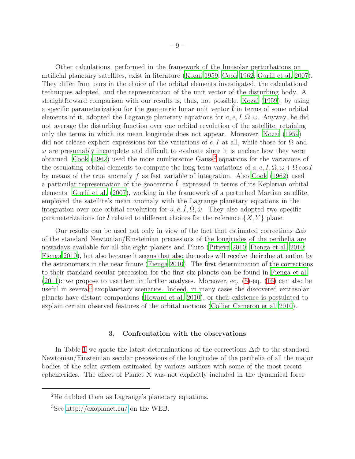Other calculations, performed in the framework of the lunisolar perturbations on artificial planetary satellites, exist in literature [\(Kozai 1959](#page-17-7); [Cook](#page-14-11) [1962](#page-14-11); [Gurfil et al. 2007\)](#page-16-8). They differ from ours in the choice of the orbital elements investigated, the calculational techniques adopted, and the representation of the unit vector of the disturbing body. A straightforward comparison with our results is, thus, not possible. [Kozai \(1959\)](#page-17-7), by using a specific parameterization for the geocentric lunar unit vector  $\hat{l}$  in terms of some orbital elements of it, adopted the Lagrange planetary equations for  $a, e, I, \Omega, \omega$ . Anyway, he did not average the disturbing function over one orbital revolution of the satellite, retaining only the terms in which its mean longitude does not appear. Moreover, [Kozai \(1959\)](#page-17-7) did not release explicit expressions for the variations of e, I at all, while those for  $\Omega$  and  $\omega$  are presumably incomplete and difficult to evaluate since it is unclear how they were obtained. [Cook \(1962\)](#page-14-11) used the more cumbersome Gauss<sup>[2](#page-8-1)</sup> equations for the variations of the osculating orbital elements to compute the long-term variations of  $a, e, I, \Omega, \omega + \Omega \cos I$ by means of the true anomaly f as fast variable of integration. Also [Cook \(1962](#page-14-11)) used a particular representation of the geocentric  $\bm{l}$ , expressed in terms of its Keplerian orbital elements. [Gurfil et al. \(2007](#page-16-8)), working in the framework of a perturbed Martian satellite, employed the satellite's mean anomaly with the Lagrange planetary equations in the integration over one orbital revolution for  $\dot{a}, \dot{e}, \dot{I}, \dot{\Omega}, \dot{\omega}$ . They also adopted two specific parameterizations for  $\hat{l}$  related to different choices for the reference  $\{X, Y\}$  plane.

Our results can be used not only in view of the fact that estimated corrections  $\Delta \dot{\varpi}$ of the standard Newtonian/Einsteinian precessions of the longitudes of the perihelia are nowadays available for all the eight planets and Pluto [\(Pitjeva 2010](#page-19-10); [Fienga et al. 2010](#page-15-9); [Fienga 2010\)](#page-15-10), but also because it seems that also the nodes will receive their due attention by the astronomers in the near future [\(Fienga 2010](#page-15-10)). The first determination of the corrections to their standard secular precession for the first six planets can be found in [Fienga et al.](#page-15-11) [\(2011\)](#page-15-11): we propose to use them in further analyses. Moreover, eq. [\(5\)](#page-5-1)-eq. [\(16\)](#page-7-0) can also be useful in several<sup>[3](#page-8-2)</sup> exoplanetary scenarios. Indeed, in many cases the discovered extrasolar planets have distant companions [\(Howard et al. 2010\)](#page-16-9), or their existence is postulated to explain certain observed features of the orbital motions [\(Collier Cameron et al. 2010\)](#page-14-12).

#### 3. Confrontation with the observations

<span id="page-8-0"></span>In Table [1](#page-9-0) we quote the latest determinations of the corrections  $\Delta \dot{\varpi}$  to the standard Newtonian/Einsteinian secular precessions of the longitudes of the perihelia of all the major bodies of the solar system estimated by various authors with some of the most recent ephemerides. The effect of Planet X was not explicitly included in the dynamical force

<sup>2</sup>He dubbed them as Lagrange's planetary equations.

<span id="page-8-2"></span><span id="page-8-1"></span><sup>3</sup>See<http://exoplanet.eu/> on the WEB.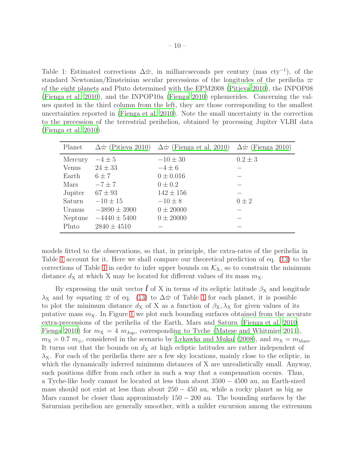<span id="page-9-0"></span>Table 1: Estimated corrections  $\Delta \dot{\varpi}$ , in milliarcseconds per century (mas cty<sup>-1</sup>), of the standard Newtonian/Einsteinian secular precessions of the longitudes of the perihelia  $\varpi$ of the eight planets and Pluto determined with the EPM2008 [\(Pitjeva](#page-19-10) [2010\)](#page-19-10), the INPOP08 [\(Fienga et al. 2010](#page-15-9)), and the INPOP10a [\(Fienga 2010](#page-15-10)) ephemerides. Concerning the values quoted in the third column from the left, they are those corresponding to the smallest uncertainties reported in [\(Fienga et al. 2010](#page-15-9)). Note the small uncertainty in the correction to the precession of the terrestrial perihelion, obtained by processing Jupiter VLBI data [\(Fienga et al. 2010](#page-15-9)).

| Planet  |                  | $\Delta\dot{\varpi}$ (Pitjeva 2010) $\Delta\dot{\varpi}$ (Fienga et al. 2010) $\Delta\dot{\varpi}$ (Fienga 2010) |             |
|---------|------------------|------------------------------------------------------------------------------------------------------------------|-------------|
| Mercury | $-4\pm 5$        | $-10 \pm 30$                                                                                                     | $0.2 \pm 3$ |
| Venus   | $24 \pm 33$      | $-4\pm 6$                                                                                                        |             |
| Earth   | $6 \pm 7$        | $0 \pm 0.016$                                                                                                    |             |
| Mars    | $-7 \pm 7$       | $0 \pm 0.2$                                                                                                      |             |
| Jupiter | $67 \pm 93$      | $142 \pm 156$                                                                                                    |             |
| Saturn  | $-10 \pm 15$     | $-10 \pm 8$                                                                                                      | $0\pm 2$    |
| Uranus  | $-3890 \pm 3900$ | $0 \pm 20000$                                                                                                    |             |
| Neptune | $-4440 \pm 5400$ | $0 \pm 20000$                                                                                                    |             |
| Pluto   | $2840 \pm 4510$  |                                                                                                                  |             |

models fitted to the observations, so that, in principle, the extra-rates of the perihelia in Table [1](#page-9-0) account for it. Here we shall compare our theoretical prediction of eq. [\(13\)](#page-6-0) to the corrections of Table [1](#page-9-0) in order to infer upper bounds on  $\mathcal{K}_{X}$ , so to constrain the minimum distance  $d_X$  at which X may be located for different values of its mass  $m_X$ .

By expressing the unit vector  $\hat{l}$  of X in terms of its ecliptic latitude  $\beta_X$  and longitude  $\lambda_X$  and by equating  $\dot{\varpi}$  of eq. [\(13\)](#page-6-0) to  $\Delta \dot{\varpi}$  of Table [1](#page-9-0) for each planet, it is possible to plot the minimum distance  $d_X$  of X as a function of  $\beta_X$ ,  $\lambda_X$  for given values of its putative mass  $m<sub>X</sub>$ . In Figure [1](#page-10-0) we plot such bounding surfaces obtained from the accurate extra-precessions of the perihelia of the Earth, Mars and Saturn [\(Fienga et al. 2010](#page-15-9); [Fienga 2010\)](#page-15-10) for  $m_X = 4$   $m_{\text{Jup}}$ , corresponding to Tyche [\(Matese and Whitmire 2011\)](#page-18-2),  $m_X = 0.7$   $m_{\oplus}$ , considered in the scenario by [Lykawka and Mukai \(2008\)](#page-17-1), and  $m_X = m_{\text{Mars}}$ . It turns out that the bounds on  $d<sub>X</sub>$  at high ecliptic latitudes are rather independent of  $\lambda_{\rm X}$ . For each of the perihelia there are a few sky locations, mainly close to the ecliptic, in which the dynamically inferred minimum distances of X are unrealistically small. Anyway, such positions differ from each other in such a way that a compensation occurs. Thus, a Tyche-like body cannot be located at less than about 3500 − 4500 au, an Earth-sized mass should not exist at less than about  $250 - 450$  au, while a rocky planet as big as Mars cannot be closer than approximately  $150 - 200$  au. The bounding surfaces by the Saturnian perihelion are generally smoother, with a milder excursion among the extremum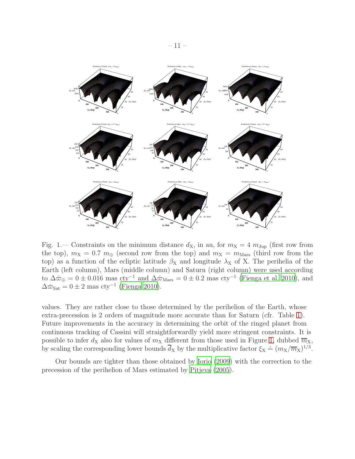

<span id="page-10-0"></span>Fig. 1.— Constraints on the minimum distance  $d_{\rm X}$ , in au, for  $m_{\rm X} = 4 m_{\rm Jup}$  (first row from the top),  $m_X = 0.7$   $m_\oplus$  (second row from the top) and  $m_X = m_{\text{Mars}}$  (third row from the top) as a function of the ecliptic latitude  $\beta_X$  and longitude  $\lambda_X$  of X. The perihelia of the Earth (left column), Mars (middle column) and Saturn (right column) were used according to  $\Delta \dot{\varpi}_{\oplus} = 0 \pm 0.016$  mas  $\text{cty}^{-1}$  and  $\Delta \dot{\varpi}_{\text{Mars}} = 0 \pm 0.2$  mas  $\text{cty}^{-1}$  [\(Fienga et al. 2010\)](#page-15-9), and  $\Delta \dot{\varpi}_{\text{Sat}} = 0 \pm 2 \text{ mas } \text{cty}^{-1}$  [\(Fienga 2010](#page-15-10)).

values. They are rather close to those determined by the perihelion of the Earth, whose extra-precession is 2 orders of magnitude more accurate than for Saturn (cfr. Table [1\)](#page-9-0). Future improvements in the accuracy in determining the orbit of the ringed planet from continuous tracking of Cassini will straightforwardly yield more stringent constraints. It is possible to infer  $d_X$  also for values of  $m_X$  different from those used in Figure [1,](#page-10-0) dubbed  $\overline{m}_X$ , by scaling the corresponding lower bounds  $\overline{d}_X$  by the multiplicative factor  $\xi_X \doteq (m_X/\overline{m}_X)^{1/3}$ .

Our bounds are tighter than those obtained by [Iorio \(2009\)](#page-16-10) with the correction to the precession of the perihelion of Mars estimated by [Pitjeva \(2005\)](#page-18-11).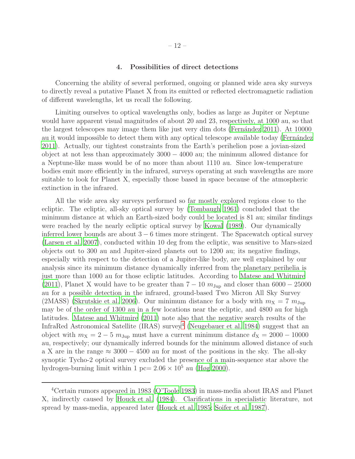#### 4. Possibilities of direct detections

<span id="page-11-0"></span>Concerning the ability of several performed, ongoing or planned wide area sky surveys to directly reveal a putative Planet X from its emitted or reflected electromagnetic radiation of different wavelengths, let us recall the following.

Limiting ourselves to optical wavelengths only, bodies as large as Jupiter or Neptune would have apparent visual magnitudes of about 20 and 23, respectively, at 1000 au, so that the largest telescopes may image them like just very dim dots (Fernández 2011). At  $10000$ au it would impossible to detect them with any optical telescope available today (Fernández [2011\)](#page-15-0). Actually, our tightest constraints from the Earth's perihelion pose a jovian-sized object at not less than approximately 3000 − 4000 au; the minimum allowed distance for a Neptune-like mass would be of no more than about 1110 au. Since low-temperature bodies emit more efficiently in the infrared, surveys operating at such wavelengths are more suitable to look for Planet X, especially those based in space because of the atmospheric extinction in the infrared.

All the wide area sky surveys performed so far mostly explored regions close to the ecliptic. The ecliptic, all-sky optical survey by [\(Tombaugh 1961\)](#page-20-5) concluded that the minimum distance at which an Earth-sized body could be located is 81 au; similar findings were reached by the nearly ecliptic optical survey by [Kowal \(1989](#page-17-8)). Our dynamically inferred lower bounds are about  $3 - 6$  times more stringent. The Spacewatch optical survey [\(Larsen et al. 2007\)](#page-17-9), conducted within 10 deg from the ecliptic, was sensitive to Mars-sized objects out to 300 au and Jupiter-sized planets out to 1200 au; its negative findings, especially with respect to the detection of a Jupiter-like body, are well explained by our analysis since its minimum distance dynamically inferred from the planetary perihelia is just more than 1000 au for those ecliptic latitudes. According to [Matese and Whitmire](#page-18-2) [\(2011\)](#page-18-2), Planet X would have to be greater than  $7 - 10 m_{\text{Jup}}$  and closer than 6000 – 25000 au for a possible detection in the infrared, ground-based Two Micron All Sky Survey (2MASS) [\(Skrutskie et al. 2006\)](#page-19-11). Our minimum distance for a body with  $m<sub>X</sub> = 7 m<sub>Jup</sub>$ may be of the order of 1300 au in a few locations near the ecliptic, and 4800 au for high latitudes. [Matese and Whitmire \(2011\)](#page-18-2) note also that the negative search results of the InfraRed Astronomical Satellite (IRAS) survey<sup>[4](#page-20-6)</sup> [\(Neugebauer et al. 1984\)](#page-18-12) suggest that an object with  $m_X = 2 - 5$   $m_{Jup}$  must have a current minimum distance  $d_X = 2000 - 10000$ au, respectively; our dynamically inferred bounds for the minimum allowed distance of such a X are in the range  $\approx 3000 - 4500$  au for most of the positions in the sky. The all-sky synoptic Tycho-2 optical survey excluded the presence of a main-sequence star above the hydrogen-burning limit within 1 pc=  $2.06 \times 10^5$  au [\(Høg 2000](#page-16-11)).

<sup>4</sup>Certain rumors appeared in 1983 [\(O'Toole 1983\)](#page-18-13) in mass-media about IRAS and Planet X, indirectly caused by [Houck et al. \(1984\)](#page-16-12). Clarifications in specialistic literature, not spread by mass-media, appeared later [\(Houck et al. 1985;](#page-16-13) [Soifer et al. 1987\)](#page-19-12).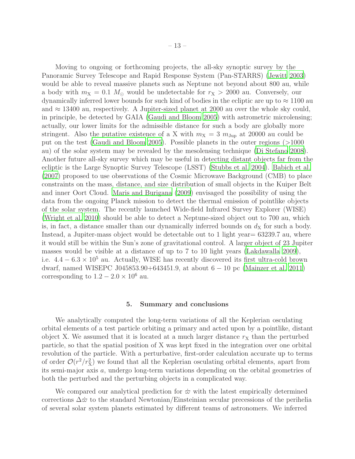Moving to ongoing or forthcoming projects, the all-sky synoptic survey by the Panoramic Survey Telescope and Rapid Response System (Pan-STARRS) [\(Jewitt 2003](#page-17-10)) would be able to reveal massive planets such as Neptune not beyond about 800 au, while a body with  $m_X = 0.1$   $M_\odot$  would be undetectable for  $r_X > 2000$  au. Conversely, our dynamically inferred lower bounds for such kind of bodies in the ecliptic are up to  $\approx 1100$  au and  $\approx$  13400 au, respectively. A Jupiter-sized planet at 2000 au over the whole sky could, in principle, be detected by GAIA [\(Gaudi and Bloom 2005\)](#page-15-12) with astrometric microlensing; actually, our lower limits for the admissible distance for such a body are globally more stringent. Also the putative existence of a X with  $m_X = 3 m_{Jup}$  at 20000 au could be put on the test [\(Gaudi and Bloom 2005](#page-15-12)). Possible planets in the outer regions (>1000 au) of the solar system may be revealed by the mesolensing technique [\(Di Stefano 2008](#page-15-13)). Another future all-sky survey which may be useful in detecting distant objects far from the ecliptic is the Large Synoptic Survey Telescope (LSST) [\(Stubbs et al. 2004](#page-20-7)). [Babich et al.](#page-14-13) [\(2007\)](#page-14-13) proposed to use observations of the Cosmic Microwave Background (CMB) to place constraints on the mass, distance, and size distribution of small objects in the Kuiper Belt and inner Oort Cloud. [Maris and Burigana \(2009](#page-17-11)) envisaged the possibility of using the data from the ongoing Planck mission to detect the thermal emission of pointlike objects of the solar system. The recently launched Wide-field Infrared Survey Explorer (WISE) [\(Wright et al. 2010\)](#page-20-8) should be able to detect a Neptune-sized object out to 700 au, which is, in fact, a distance smaller than our dynamically inferred bounds on  $d<sub>X</sub>$  for such a body. Instead, a Jupiter-mass object would be detectable out to 1 light year= 63239.7 au, where it would still be within the Sun's zone of gravitational control. A larger object of 23 Jupiter masses would be visible at a distance of up to 7 to 10 light years [\(Lakdawalla 2009](#page-17-12)), i.e.  $4.4 - 6.3 \times 10^5$  au. Actually, WISE has recently discovered its first ultra-cold brown dwarf, named WISEPC J045853.90+643451.9, at about  $6 - 10$  pc [\(Mainzer et al. 2011\)](#page-17-13) corresponding to  $1.2 - 2.0 \times 10^6$  au.

#### 5. Summary and conclusions

<span id="page-12-0"></span>We analytically computed the long-term variations of all the Keplerian osculating orbital elements of a test particle orbiting a primary and acted upon by a pointlike, distant object X. We assumed that it is located at a much larger distance  $r<sub>X</sub>$  than the perturbed particle, so that the spatial position of X was kept fixed in the integration over one orbital revolution of the particle. With a perturbative, first-order calculation accurate up to terms of order  $\mathcal{O}(r^2/r_X^2)$  we found that all the Keplerian osculating orbital elements, apart from its semi-major axis a, undergo long-term variations depending on the orbital geometries of both the perturbed and the perturbing objects in a complicated way.

We compared our analytical prediction for  $\dot{\varpi}$  with the latest empirically determined corrections  $\Delta \dot{\varpi}$  to the standard Newtonian/Einsteinian secular precessions of the perihelia of several solar system planets estimated by different teams of astronomers. We inferred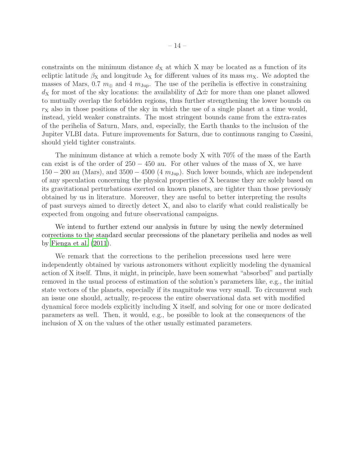constraints on the minimum distance  $d<sub>X</sub>$  at which X may be located as a function of its ecliptic latitude  $\beta_X$  and longitude  $\lambda_X$  for different values of its mass  $m_X$ . We adopted the masses of Mars, 0.7  $m_{\oplus}$  and 4  $m_{\text{Jup}}$ . The use of the perihelia is effective in constraining  $d_X$  for most of the sky locations: the availability of  $\Delta \dot{\varpi}$  for more than one planet allowed to mutually overlap the forbidden regions, thus further strengthening the lower bounds on  $r<sub>X</sub>$  also in those positions of the sky in which the use of a single planet at a time would, instead, yield weaker constraints. The most stringent bounds came from the extra-rates of the perihelia of Saturn, Mars, and, especially, the Earth thanks to the inclusion of the Jupiter VLBI data. Future improvements for Saturn, due to continuous ranging to Cassini, should yield tighter constraints.

The minimum distance at which a remote body X with 70% of the mass of the Earth can exist is of the order of  $250 - 450$  au. For other values of the mass of X, we have  $150 - 200$  au (Mars), and  $3500 - 4500$  (4  $m_{\text{Jup}}$ ). Such lower bounds, which are independent of any speculation concerning the physical properties of X because they are solely based on its gravitational perturbations exerted on known planets, are tighter than those previously obtained by us in literature. Moreover, they are useful to better interpreting the results of past surveys aimed to directly detect X, and also to clarify what could realistically be expected from ongoing and future observational campaigns.

We intend to further extend our analysis in future by using the newly determined corrections to the standard secular precessions of the planetary perihelia and nodes as well by [Fienga et al. \(2011](#page-15-11)).

We remark that the corrections to the perihelion precessions used here were independently obtained by various astronomers without explicitly modeling the dynamical action of X itself. Thus, it might, in principle, have been somewhat "absorbed" and partially removed in the usual process of estimation of the solution's parameters like, e.g., the initial state vectors of the planets, especially if its magnitude was very small. To circumvent such an issue one should, actually, re-process the entire observational data set with modified dynamical force models explicitly including X itself, and solving for one or more dedicated parameters as well. Then, it would, e.g., be possible to look at the consequences of the inclusion of X on the values of the other usually estimated parameters.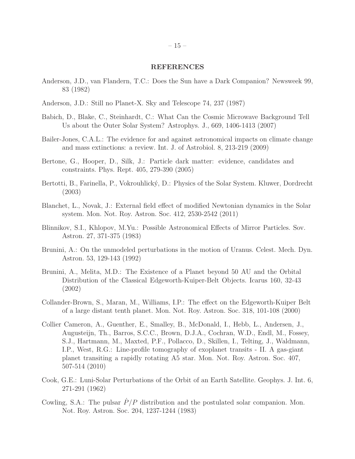#### REFERENCES

- <span id="page-14-3"></span>Anderson, J.D., van Flandern, T.C.: Does the Sun have a Dark Companion? Newsweek 99, 83 (1982)
- <span id="page-14-4"></span>Anderson, J.D.: Still no Planet-X. Sky and Telescope 74, 237 (1987)
- <span id="page-14-13"></span>Babich, D., Blake, C., Steinhardt, C.: What Can the Cosmic Microwave Background Tell Us about the Outer Solar System? Astrophys. J., 669, 1406-1413 (2007)
- <span id="page-14-0"></span>Bailer-Jones, C.A.L.: The evidence for and against astronomical impacts on climate change and mass extinctions: a review. Int. J. of Astrobiol. 8, 213-219 (2009)
- <span id="page-14-8"></span>Bertone, G., Hooper, D., Silk, J.: Particle dark matter: evidence, candidates and constraints. Phys. Rept. 405, 279-390 (2005)
- <span id="page-14-10"></span>Bertotti, B., Farinella, P., Vokrouhlický, D.: Physics of the Solar System. Kluwer, Dordrecht (2003)
- <span id="page-14-7"></span>Blanchet, L., Novak, J.: External field effect of modified Newtonian dynamics in the Solar system. Mon. Not. Roy. Astron. Soc. 412, 2530-2542 (2011)
- <span id="page-14-9"></span>Blinnikov, S.I., Khlopov, M.Yu.: Possible Astronomical Effects of Mirror Particles. Sov. Astron. 27, 371-375 (1983)
- <span id="page-14-5"></span>Brunini, A.: On the unmodeled perturbations in the motion of Uranus. Celest. Mech. Dyn. Astron. 53, 129-143 (1992)
- <span id="page-14-2"></span>Brunini, A., Melita, M.D.: The Existence of a Planet beyond 50 AU and the Orbital Distribution of the Classical Edgeworth-Kuiper-Belt Objects. Icarus 160, 32-43 (2002)
- <span id="page-14-1"></span>Collander-Brown, S., Maran, M., Williams, I.P.: The effect on the Edgeworth-Kuiper Belt of a large distant tenth planet. Mon. Not. Roy. Astron. Soc. 318, 101-108 (2000)
- <span id="page-14-12"></span>Collier Cameron, A., Guenther, E., Smalley, B., McDonald, I., Hebb, L., Andersen, J., Augusteijn, Th., Barros, S.C.C., Brown, D.J.A., Cochran, W.D., Endl, M., Fossey, S.J., Hartmann, M., Maxted, P.F., Pollacco, D., Skillen, I., Telting, J., Waldmann, I.P., West, R.G.: Line-profile tomography of exoplanet transits - II. A gas-giant planet transiting a rapidly rotating A5 star. Mon. Not. Roy. Astron. Soc. 407, 507-514 (2010)
- <span id="page-14-11"></span>Cook, G.E.: Luni-Solar Perturbations of the Orbit of an Earth Satellite. Geophys. J. Int. 6, 271-291 (1962)
- <span id="page-14-6"></span>Cowling, S.A.: The pulsar  $P/P$  distribution and the postulated solar companion. Mon. Not. Roy. Astron. Soc. 204, 1237-1244 (1983)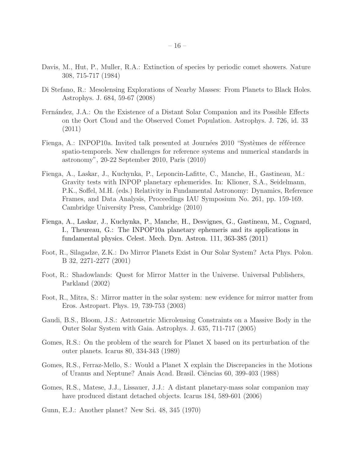- <span id="page-15-1"></span>Davis, M., Hut, P., Muller, R.A.: Extinction of species by periodic comet showers. Nature 308, 715-717 (1984)
- <span id="page-15-13"></span>Di Stefano, R.: Mesolensing Explorations of Nearby Masses: From Planets to Black Holes. Astrophys. J. 684, 59-67 (2008)
- <span id="page-15-0"></span>Fernández, J.A.: On the Existence of a Distant Solar Companion and its Possible Effects on the Oort Cloud and the Observed Comet Population. Astrophys. J. 726, id. 33 (2011)
- <span id="page-15-10"></span>Fienga, A.: INPOP10a. Invited talk presented at Journées 2010 "Systèmes de référence spatio-temporels. New challenges for reference systems and numerical standards in astronomy", 20-22 September 2010, Paris (2010)
- <span id="page-15-9"></span>Fienga, A., Laskar, J., Kuchynka, P., Leponcin-Lafitte, C., Manche, H., Gastineau, M.: Gravity tests with INPOP planetary ephemerides. In: Klioner, S.A., Seidelmann, P.K., Soffel, M.H. (eds.) Relativity in Fundamental Astronomy: Dynamics, Reference Frames, and Data Analysis, Proceedings IAU Symposium No. 261, pp. 159-169. Cambridge University Press, Cambridge (2010)
- <span id="page-15-11"></span>Fienga, A., Laskar, J., Kuchynka, P., Manche, H., Desvignes, G., Gastineau, M., Cognard, I., Theureau, G.: The INPOP10a planetary ephemeris and its applications in fundamental physics. Celest. Mech. Dyn. Astron. 111, 363-385 (2011)
- <span id="page-15-6"></span>Foot, R., Silagadze, Z.K.: Do Mirror Planets Exist in Our Solar System? Acta Phys. Polon. B 32, 2271-2277 (2001)
- <span id="page-15-8"></span>Foot, R.: Shadowlands: Quest for Mirror Matter in the Universe. Universal Publishers, Parkland (2002)
- <span id="page-15-7"></span>Foot, R., Mitra, S.: Mirror matter in the solar system: new evidence for mirror matter from Eros. Astropart. Phys. 19, 739-753 (2003)
- <span id="page-15-12"></span>Gaudi, B.S., Bloom, J.S.: Astrometric Microlensing Constraints on a Massive Body in the Outer Solar System with Gaia. Astrophys. J. 635, 711-717 (2005)
- <span id="page-15-5"></span>Gomes, R.S.: On the problem of the search for Planet X based on its perturbation of the outer planets. Icarus 80, 334-343 (1989)
- <span id="page-15-4"></span>Gomes, R.S., Ferraz-Mello, S.: Would a Planet X explain the Discrepancies in the Motions of Uranus and Neptune? Anais Acad. Brasil. Ciˆencias 60, 399-403 (1988)
- <span id="page-15-2"></span>Gomes, R.S., Matese, J.J., Lissauer, J.J.: A distant planetary-mass solar companion may have produced distant detached objects. Icarus 184, 589-601 (2006)
- <span id="page-15-3"></span>Gunn, E.J.: Another planet? New Sci. 48, 345 (1970)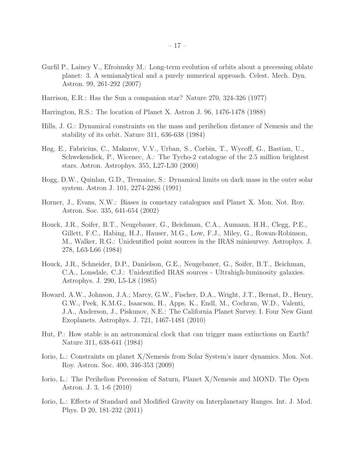- <span id="page-16-8"></span>Gurfil P., Lainey V., Efroimsky M.: Long-term evolution of orbits about a precessing oblate planet: 3. A semianalytical and a purely numerical approach. Celest. Mech. Dyn. Astron. 99, 261-292 (2007)
- <span id="page-16-5"></span>Harrison, E.R.: Has the Sun a companion star? Nature 270, 324-326 (1977)
- <span id="page-16-4"></span>Harrington, R.S.: The location of Planet X. Astron J. 96, 1476-1478 (1988)
- <span id="page-16-1"></span>Hills, J. G.: Dynamical constraints on the mass and perihelion distance of Nemesis and the stability of its orbit. Nature 311, 636-638 (1984)
- <span id="page-16-11"></span>Høg, E., Fabricius, C., Makarov, V.V., Urban, S., Corbin, T., Wycoff, G., Bastian, U., Schwekendiek, P., Wicenec, A.: The Tycho-2 catalogue of the 2.5 million brightest stars. Astron. Astrophys. 355, L27-L30 (2000)
- <span id="page-16-7"></span>Hogg, D.W., Quinlan, G.D., Tremaine, S.: Dynamical limits on dark mass in the outer solar system. Astron J. 101, 2274-2286 (1991)
- <span id="page-16-3"></span>Horner, J., Evans, N.W.: Biases in cometary catalogues and Planet X. Mon. Not. Roy. Astron. Soc. 335, 641-654 (2002)
- <span id="page-16-12"></span>Houck, J.R., Soifer, B.T., Neugebauer, G., Beichman, C.A., Aumann, H.H., Clegg, P.E., Gillett, F.C., Habing, H.J., Hauser, M.G., Low, F.J., Miley, G., Rowan-Robinson, M., Walker, R.G.: Unidentified point sources in the IRAS minisurvey. Astrophys. J. 278, L63-L66 (1984)
- <span id="page-16-13"></span>Houck, J.R., Schneider, D.P., Danielson, G.E., Neugebauer, G., Soifer, B.T., Beichman, C.A., Lonsdale, C.J.: Unidentified IRAS sources - Ultrahigh-luminosity galaxies. Astrophys. J. 290, L5-L8 (1985)
- <span id="page-16-9"></span>Howard, A.W., Johnson, J.A.; Marcy, G.W., Fischer, D.A., Wright, J.T., Bernat, D., Henry, G.W., Peek, K.M.G., Isaacson, H., Apps, K., Endl, M., Cochran, W.D., Valenti, J.A., Anderson, J., Piskunov, N.E.: The California Planet Survey. I. Four New Giant Exoplanets. Astrophys. J. 721, 1467-1481 (2010)
- <span id="page-16-2"></span>Hut, P.: How stable is an astronomical clock that can trigger mass extinctions on Earth? Nature 311, 638-641 (1984)
- <span id="page-16-10"></span>Iorio, L.: Constraints on planet X/Nemesis from Solar System's inner dynamics. Mon. Not. Roy. Astron. Soc. 400, 346-353 (2009)
- <span id="page-16-0"></span>Iorio, L.: The Perihelion Precession of Saturn, Planet X/Nemesis and MOND. The Open Astron. J. 3, 1-6 (2010)
- <span id="page-16-6"></span>Iorio, L.: Effects of Standard and Modified Gravity on Interplanetary Ranges. Int. J. Mod. Phys. D 20, 181-232 (2011)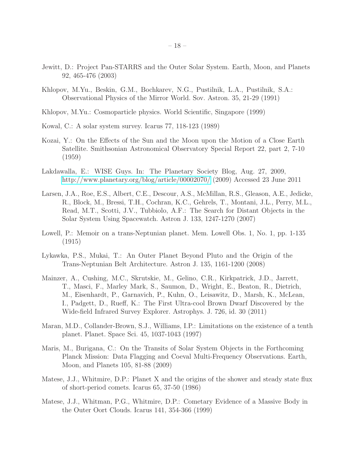- <span id="page-17-10"></span>Jewitt, D.: Project Pan-STARRS and the Outer Solar System. Earth, Moon, and Planets 92, 465-476 (2003)
- <span id="page-17-5"></span>Khlopov, M.Yu., Beskin, G.M., Bochkarev, N.G., Pustilnik, L.A., Pustilnik, S.A.: Observational Physics of the Mirror World. Sov. Astron. 35, 21-29 (1991)
- <span id="page-17-6"></span>Khlopov, M.Yu.: Cosmoparticle physics. World Scientific, Singapore (1999)
- <span id="page-17-8"></span>Kowal, C.: A solar system survey. Icarus 77, 118-123 (1989)
- <span id="page-17-7"></span>Kozai, Y.: On the Effects of the Sun and the Moon upon the Motion of a Close Earth Satellite. Smithsonian Astronomical Observatory Special Report 22, part 2, 7-10 (1959)
- <span id="page-17-12"></span>Lakdawalla, E.: WISE Guys. In: The Planetary Society Blog, Aug. 27, 2009, <http://www.planetary.org/blog/article/00002070/> (2009) Accessed 23 June 2011
- <span id="page-17-9"></span>Larsen, J.A., Roe, E.S., Albert, C.E., Descour, A.S., McMillan, R.S., Gleason, A.E., Jedicke, R., Block, M., Bressi, T.H., Cochran, K.C., Gehrels, T., Montani, J.L., Perry, M.L., Read, M.T., Scotti, J.V., Tubbiolo, A.F.: The Search for Distant Objects in the Solar System Using Spacewatch. Astron J. 133, 1247-1270 (2007)
- <span id="page-17-0"></span>Lowell, P.: Memoir on a trans-Neptunian planet. Mem. Lowell Obs. 1, No. 1, pp. 1-135 (1915)
- <span id="page-17-1"></span>Lykawka, P.S., Mukai, T.: An Outer Planet Beyond Pluto and the Origin of the Trans-Neptunian Belt Architecture. Astron J. 135, 1161-1200 (2008)
- <span id="page-17-13"></span>Mainzer, A., Cushing, M.C., Skrutskie, M., Gelino, C.R., Kirkpatrick, J.D., Jarrett, T., Masci, F., Marley Mark, S., Saumon, D., Wright, E., Beaton, R., Dietrich, M., Eisenhardt, P., Garnavich, P., Kuhn, O., Leisawitz, D., Marsh, K., McLean, I., Padgett, D., Rueff, K.: The First Ultra-cool Brown Dwarf Discovered by the Wide-field Infrared Survey Explorer. Astrophys. J. 726, id. 30 (2011)
- <span id="page-17-4"></span>Maran, M.D., Collander-Brown, S.J., Williams, I.P.: Limitations on the existence of a tenth planet. Planet. Space Sci. 45, 1037-1043 (1997)
- <span id="page-17-11"></span>Maris, M., Burigana, C.: On the Transits of Solar System Objects in the Forthcoming Planck Mission: Data Flagging and Coeval Multi-Frequency Observations. Earth, Moon, and Planets 105, 81-88 (2009)
- <span id="page-17-3"></span>Matese, J.J., Whitmire, D.P.: Planet X and the origins of the shower and steady state flux of short-period comets. Icarus 65, 37-50 (1986)
- <span id="page-17-2"></span>Matese, J.J., Whitman, P.G., Whitmire, D.P.: Cometary Evidence of a Massive Body in the Outer Oort Clouds. Icarus 141, 354-366 (1999)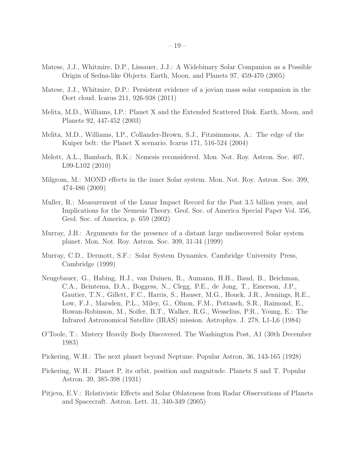- <span id="page-18-8"></span>Matese, J.J., Whitmire, D.P., Lissauer, J.J.: A Widebinary Solar Companion as a Possible Origin of Sedna-like Objects. Earth, Moon, and Planets 97, 459-470 (2005)
- <span id="page-18-2"></span>Matese, J.J., Whitmire, D.P.: Persistent evidence of a jovian mass solar companion in the Oort cloud. Icarus 211, 926-938 (2011)
- <span id="page-18-6"></span>Melita, M.D., Williams, I.P.: Planet X and the Extended Scattered Disk. Earth, Moon, and Planets 92, 447-452 (2003)
- <span id="page-18-7"></span>Melita, M.D., Williams, I.P., Collander-Brown, S.J., Fitzsimmons, A.: The edge of the Kuiper belt: the Planet X scenario. Icarus 171, 516-524 (2004)
- <span id="page-18-4"></span>Melott, A.L., Bambach, R.K.: Nemesis reconsidered. Mon. Not. Roy. Astron. Soc. 407, L99-L102 (2010)
- <span id="page-18-9"></span>Milgrom, M.: MOND effects in the inner Solar system. Mon. Not. Roy. Astron. Soc. 399, 474-486 (2009)
- <span id="page-18-3"></span>Muller, R.: Measurement of the Lunar Impact Record for the Past 3.5 billion years, and Implications for the Nemesis Theory. Geol. Soc. of America Special Paper Vol. 356, Geol. Soc. of America, p. 659 (2002)
- <span id="page-18-5"></span>Murray, J.B.: Arguments for the presence of a distant large undiscovered Solar system planet. Mon. Not. Roy. Astron. Soc. 309, 31-34 (1999)
- <span id="page-18-10"></span>Murray, C.D., Dermott, S.F.: Solar System Dynamics. Cambridge University Press, Cambridge (1999)
- <span id="page-18-12"></span>Neugebauer, G., Habing, H.J., van Duinen, R., Aumann, H.H., Baud, B., Beichman, C.A., Beintema, D.A., Boggess, N., Clegg, P.E., de Jong, T., Emerson, J.P., Gautier, T.N., Gillett, F.C., Harris, S., Hauser, M.G., Houck, J.R., Jennings, R.E., Low, F.J., Marsden, P.L., Miley, G., Olnon, F.M., Pottasch, S.R., Raimond, E., Rowan-Robinson, M., Soifer, B.T., Walker, R.G., Wesselius, P.R., Young, E.: The Infrared Astronomical Satellite (IRAS) mission. Astrophys. J. 278, L1-L6 (1984)
- <span id="page-18-13"></span>O'Toole, T.: Mistery Heavily Body Discovered. The Washington Post, A1 (30th December 1983)
- <span id="page-18-0"></span>Pickering, W.H.: The next planet beyond Neptune. Popular Astron. 36, 143-165 (1928)
- <span id="page-18-1"></span>Pickering, W.H.: Planet P, its orbit, position and magnitude. Planets S and T. Popular Astron. 39, 385-398 (1931)
- <span id="page-18-11"></span>Pitjeva, E.V.: Relativistic Effects and Solar Oblateness from Radar Observations of Planets and Spacecraft. Astron. Lett. 31, 340-349 (2005)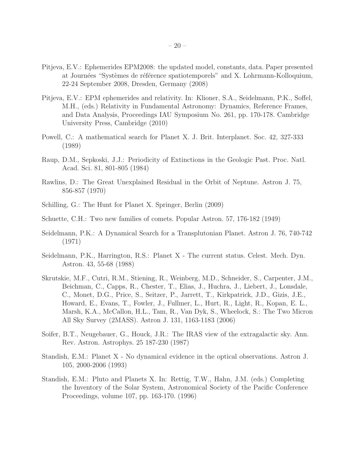- <span id="page-19-9"></span>Pitjeva, E.V.: Ephemerides EPM2008: the updated model, constants, data. Paper presented at Journées "Systèmes de référence spatiotemporels" and X. Lohrmann-Kolloquium, 22-24 September 2008, Dresden, Germany (2008)
- <span id="page-19-10"></span>Pitjeva, E.V.: EPM ephemerides and relativity. In: Klioner, S.A., Seidelmann, P.K., Soffel, M.H., (eds.) Relativity in Fundamental Astronomy: Dynamics, Reference Frames, and Data Analysis, Proceedings IAU Symposium No. 261, pp. 170-178. Cambridge University Press, Cambridge (2010)
- <span id="page-19-6"></span>Powell, C.: A mathematical search for Planet X. J. Brit. Interplanet. Soc. 42, 327-333 (1989)
- <span id="page-19-2"></span>Raup, D.M., Sepkoski, J.J.: Periodicity of Extinctions in the Geologic Past. Proc. Natl. Acad. Sci. 81, 801-805 (1984)
- <span id="page-19-3"></span>Rawlins, D.: The Great Unexplained Residual in the Orbit of Neptune. Astron J. 75, 856-857 (1970)
- <span id="page-19-1"></span>Schilling, G.: The Hunt for Planet X. Springer, Berlin (2009)
- <span id="page-19-0"></span>Schuette, C.H.: Two new families of comets. Popular Astron. 57, 176-182 (1949)
- <span id="page-19-4"></span>Seidelmann, P.K.: A Dynamical Search for a Transplutonian Planet. Astron J. 76, 740-742 (1971)
- <span id="page-19-5"></span>Seidelmann, P.K., Harrington, R.S.: Planet X - The current status. Celest. Mech. Dyn. Astron. 43, 55-68 (1988)
- <span id="page-19-11"></span>Skrutskie, M.F., Cutri, R.M., Stiening, R., Weinberg, M.D., Schneider, S., Carpenter, J.M., Beichman, C., Capps, R., Chester, T., Elias, J., Huchra, J., Liebert, J., Lonsdale, C., Monet, D.G., Price, S., Seitzer, P., Jarrett, T., Kirkpatrick, J.D., Gizis, J.E., Howard, E., Evans, T., Fowler, J., Fullmer, L., Hurt, R., Light, R., Kopan, E. L., Marsh, K.A., McCallon, H.L., Tam, R., Van Dyk, S., Wheelock, S.: The Two Micron All Sky Survey (2MASS). Astron J. 131, 1163-1183 (2006)
- <span id="page-19-12"></span>Soifer, B.T., Neugebauer, G., Houck, J.R.: The IRAS view of the extragalactic sky. Ann. Rev. Astron. Astrophys. 25 187-230 (1987)
- <span id="page-19-7"></span>Standish, E.M.: Planet X - No dynamical evidence in the optical observations. Astron J. 105, 2000-2006 (1993)
- <span id="page-19-8"></span>Standish, E.M.: Pluto and Planets X. In: Rettig, T.W., Hahn, J.M. (eds.) Completing the Inventory of the Solar System, Astronomical Society of the Pacific Conference Proceedings, volume 107, pp. 163-170. (1996)